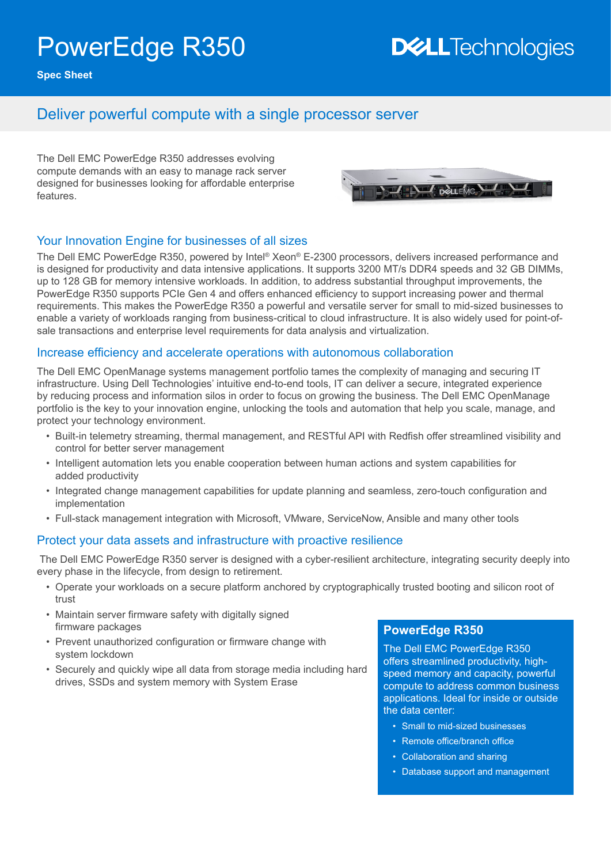# PowerEdge R350

## **DELLTechnologies**

**Spec Sheet**

### Deliver powerful compute with a single processor server

The Dell EMC PowerEdge R350 addresses evolving compute demands with an easy to manage rack server designed for businesses looking for affordable enterprise features.



#### Your Innovation Engine for businesses of all sizes

The Dell EMC PowerEdge R350, powered by Intel® Xeon® E-2300 processors, delivers increased performance and is designed for productivity and data intensive applications. It supports 3200 MT/s DDR4 speeds and 32 GB DIMMs, up to 128 GB for memory intensive workloads. In addition, to address substantial throughput improvements, the PowerEdge R350 supports PCIe Gen 4 and offers enhanced efficiency to support increasing power and thermal requirements. This makes the PowerEdge R350 a powerful and versatile server for small to mid-sized businesses to enable a variety of workloads ranging from business-critical to cloud infrastructure. It is also widely used for point-ofsale transactions and enterprise level requirements for data analysis and virtualization.

#### Increase efficiency and accelerate operations with autonomous collaboration

The Dell EMC OpenManage systems management portfolio tames the complexity of managing and securing IT infrastructure. Using Dell Technologies' intuitive end-to-end tools, IT can deliver a secure, integrated experience by reducing process and information silos in order to focus on growing the business. The Dell EMC OpenManage portfolio is the key to your innovation engine, unlocking the tools and automation that help you scale, manage, and protect your technology environment.

- Built-in telemetry streaming, thermal management, and RESTful API with Redfish offer streamlined visibility and control for better server management
- Intelligent automation lets you enable cooperation between human actions and system capabilities for added productivity
- Integrated change management capabilities for update planning and seamless, zero-touch configuration and implementation
- Full-stack management integration with Microsoft, VMware, ServiceNow, Ansible and many other tools

#### Protect your data assets and infrastructure with proactive resilience

 The Dell EMC PowerEdge R350 server is designed with a cyber-resilient architecture, integrating security deeply into every phase in the lifecycle, from design to retirement.

- Operate your workloads on a secure platform anchored by cryptographically trusted booting and silicon root of trust
- Maintain server firmware safety with digitally signed firmware packages
- Prevent unauthorized configuration or firmware change with system lockdown
- Securely and quickly wipe all data from storage media including hard drives, SSDs and system memory with System Erase

#### **PowerEdge R350**

The Dell EMC PowerEdge R350 offers streamlined productivity, highspeed memory and capacity, powerful compute to address common business applications. Ideal for inside or outside the data center:

- Small to mid-sized businesses
- Remote office/branch office
- Collaboration and sharing
- Database support and management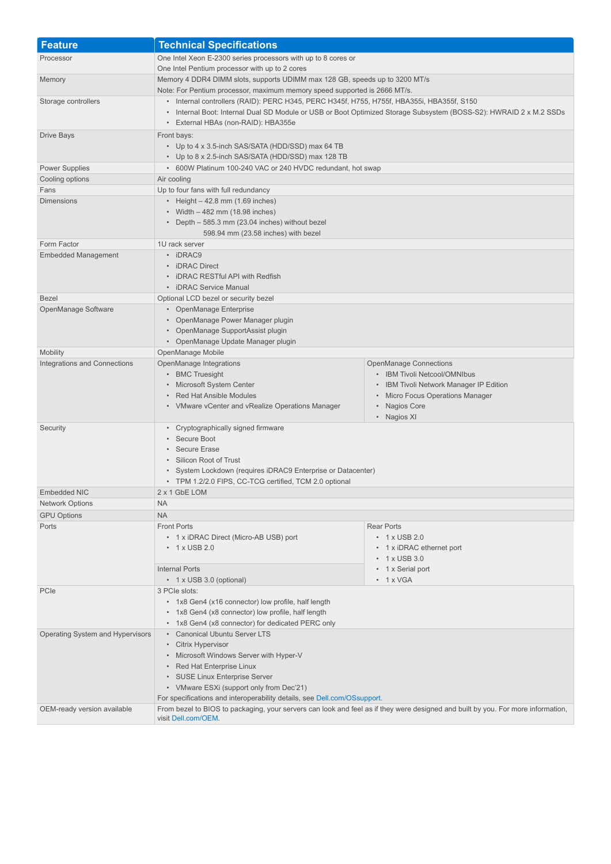| <b>Feature</b>                   | <b>Technical Specifications</b>                                                                                                                                                                                                                                                         |                                                                                                                                                                                                         |
|----------------------------------|-----------------------------------------------------------------------------------------------------------------------------------------------------------------------------------------------------------------------------------------------------------------------------------------|---------------------------------------------------------------------------------------------------------------------------------------------------------------------------------------------------------|
| Processor                        | One Intel Xeon E-2300 series processors with up to 8 cores or                                                                                                                                                                                                                           |                                                                                                                                                                                                         |
|                                  | One Intel Pentium processor with up to 2 cores                                                                                                                                                                                                                                          |                                                                                                                                                                                                         |
| Memory                           | Memory 4 DDR4 DIMM slots, supports UDIMM max 128 GB, speeds up to 3200 MT/s                                                                                                                                                                                                             |                                                                                                                                                                                                         |
|                                  | Note: For Pentium processor, maximum memory speed supported is 2666 MT/s.                                                                                                                                                                                                               |                                                                                                                                                                                                         |
| Storage controllers              | • Internal controllers (RAID): PERC H345, PERC H345f, H755, H755f, HBA355i, HBA355f, S150<br>• Internal Boot: Internal Dual SD Module or USB or Boot Optimized Storage Subsystem (BOSS-S2): HWRAID 2 x M.2 SSDs<br>• External HBAs (non-RAID): HBA355e                                  |                                                                                                                                                                                                         |
| Drive Bays                       | Front bays:<br>• Up to 4 x 3.5-inch SAS/SATA (HDD/SSD) max 64 TB<br>• Up to 8 x 2.5-inch SAS/SATA (HDD/SSD) max 128 TB                                                                                                                                                                  |                                                                                                                                                                                                         |
| <b>Power Supplies</b>            | • 600W Platinum 100-240 VAC or 240 HVDC redundant, hot swap                                                                                                                                                                                                                             |                                                                                                                                                                                                         |
| Cooling options                  | Air cooling                                                                                                                                                                                                                                                                             |                                                                                                                                                                                                         |
| Fans                             | Up to four fans with full redundancy                                                                                                                                                                                                                                                    |                                                                                                                                                                                                         |
| <b>Dimensions</b>                | • Height $-42.8$ mm (1.69 inches)<br>• Width $-482$ mm (18.98 inches)<br>• Depth - 585.3 mm (23.04 inches) without bezel<br>598.94 mm (23.58 inches) with bezel                                                                                                                         |                                                                                                                                                                                                         |
| Form Factor                      | 1U rack server                                                                                                                                                                                                                                                                          |                                                                                                                                                                                                         |
| <b>Embedded Management</b>       | • iDRAC9<br>• iDRAC Direct<br>• iDRAC RESTful API with Redfish<br>• iDRAC Service Manual                                                                                                                                                                                                |                                                                                                                                                                                                         |
| <b>Bezel</b>                     | Optional LCD bezel or security bezel                                                                                                                                                                                                                                                    |                                                                                                                                                                                                         |
| OpenManage Software              | • OpenManage Enterprise<br>• OpenManage Power Manager plugin<br>• OpenManage SupportAssist plugin<br>• OpenManage Update Manager plugin                                                                                                                                                 |                                                                                                                                                                                                         |
| Mobility                         | OpenManage Mobile                                                                                                                                                                                                                                                                       |                                                                                                                                                                                                         |
| Integrations and Connections     | OpenManage Integrations<br>• BMC Truesight<br>• Microsoft System Center<br>• Red Hat Ansible Modules<br>• VMware vCenter and vRealize Operations Manager                                                                                                                                | <b>OpenManage Connections</b><br>• IBM Tivoli Netcool/OMNIbus<br>IBM Tivoli Network Manager IP Edition<br><b>Micro Focus Operations Manager</b><br>$\bullet$<br>Nagios Core<br>$\bullet$<br>• Nagios XI |
| Security                         | • Cryptographically signed firmware<br>• Secure Boot<br>• Secure Erase<br>• Silicon Root of Trust<br>• System Lockdown (requires iDRAC9 Enterprise or Datacenter)<br>• TPM 1.2/2.0 FIPS, CC-TCG certified, TCM 2.0 optional                                                             |                                                                                                                                                                                                         |
| <b>Embedded NIC</b>              | 2 x 1 GbE LOM                                                                                                                                                                                                                                                                           |                                                                                                                                                                                                         |
| <b>Network Options</b>           | <b>NA</b>                                                                                                                                                                                                                                                                               |                                                                                                                                                                                                         |
| <b>GPU Options</b>               | <b>NA</b>                                                                                                                                                                                                                                                                               |                                                                                                                                                                                                         |
| Ports                            | <b>Front Ports</b><br>• 1 x iDRAC Direct (Micro-AB USB) port<br>$\cdot$ 1 x USB 2.0<br><b>Internal Ports</b>                                                                                                                                                                            | <b>Rear Ports</b><br>$\cdot$ 1 x USB 2.0<br>• 1 x iDRAC ethernet port<br>$\cdot$ 1 x USB 3.0<br>• 1 x Serial port                                                                                       |
|                                  | • 1 x USB 3.0 (optional)                                                                                                                                                                                                                                                                | $\cdot$ 1 x VGA                                                                                                                                                                                         |
| PCIe                             | 3 PCIe slots:<br>• 1x8 Gen4 (x16 connector) low profile, half length<br>• 1x8 Gen4 (x8 connector) low profile, half length<br>• 1x8 Gen4 (x8 connector) for dedicated PERC only                                                                                                         |                                                                                                                                                                                                         |
| Operating System and Hypervisors | • Canonical Ubuntu Server LTS<br>• Citrix Hypervisor<br>• Microsoft Windows Server with Hyper-V<br>• Red Hat Enterprise Linux<br>• SUSE Linux Enterprise Server<br>• VMware ESXi (support only from Dec'21)<br>For specifications and interoperability details, see Dell.com/OSsupport. |                                                                                                                                                                                                         |
| OEM-ready version available      | From bezel to BIOS to packaging, your servers can look and feel as if they were designed and built by you. For more information,<br>visit Dell.com/OEM.                                                                                                                                 |                                                                                                                                                                                                         |